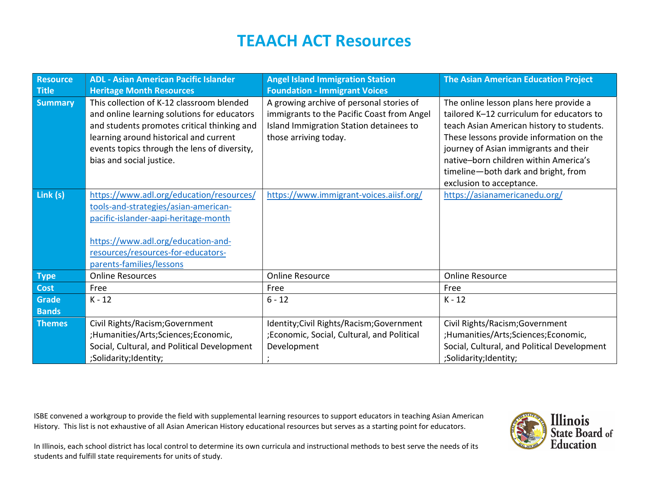| <b>Resource</b><br><b>Title</b> | <b>ADL - Asian American Pacific Islander</b><br><b>Heritage Month Resources</b>                                                                                                                                                                               | <b>Angel Island Immigration Station</b><br><b>Foundation - Immigrant Voices</b>                                                                            | <b>The Asian American Education Project</b>                                                                                                                                                                                                                                                                                       |
|---------------------------------|---------------------------------------------------------------------------------------------------------------------------------------------------------------------------------------------------------------------------------------------------------------|------------------------------------------------------------------------------------------------------------------------------------------------------------|-----------------------------------------------------------------------------------------------------------------------------------------------------------------------------------------------------------------------------------------------------------------------------------------------------------------------------------|
| <b>Summary</b>                  | This collection of K-12 classroom blended<br>and online learning solutions for educators<br>and students promotes critical thinking and<br>learning around historical and current<br>events topics through the lens of diversity,<br>bias and social justice. | A growing archive of personal stories of<br>immigrants to the Pacific Coast from Angel<br>Island Immigration Station detainees to<br>those arriving today. | The online lesson plans here provide a<br>tailored K-12 curriculum for educators to<br>teach Asian American history to students.<br>These lessons provide information on the<br>journey of Asian immigrants and their<br>native-born children within America's<br>timeline-both dark and bright, from<br>exclusion to acceptance. |
| Link (s)                        | https://www.adl.org/education/resources/<br>tools-and-strategies/asian-american-<br>pacific-islander-aapi-heritage-month<br>https://www.adl.org/education-and-<br>resources/resources-for-educators-<br>parents-families/lessons                              | https://www.immigrant-voices.aiisf.org/                                                                                                                    | https://asianamericanedu.org/                                                                                                                                                                                                                                                                                                     |
| <b>Type</b>                     | <b>Online Resources</b>                                                                                                                                                                                                                                       | Online Resource                                                                                                                                            | <b>Online Resource</b>                                                                                                                                                                                                                                                                                                            |
| <b>Cost</b>                     | Free                                                                                                                                                                                                                                                          | Free                                                                                                                                                       | Free                                                                                                                                                                                                                                                                                                                              |
| <b>Grade</b><br><b>Bands</b>    | $K - 12$                                                                                                                                                                                                                                                      | $6 - 12$                                                                                                                                                   | $K - 12$                                                                                                                                                                                                                                                                                                                          |
| <b>Themes</b>                   | Civil Rights/Racism; Government<br>;Humanities/Arts;Sciences;Economic,<br>Social, Cultural, and Political Development<br>;Solidarity;Identity;                                                                                                                | Identity; Civil Rights/Racism; Government<br>;Economic, Social, Cultural, and Political<br>Development<br>$\cdot$                                          | Civil Rights/Racism; Government<br>;Humanities/Arts;Sciences;Economic,<br>Social, Cultural, and Political Development<br>;Solidarity;Identity;                                                                                                                                                                                    |

ISBE convened a workgroup to provide the field with supplemental learning resources to support educators in teaching Asian American History. This list is not exhaustive of all Asian American History educational resources but serves as a starting point for educators.

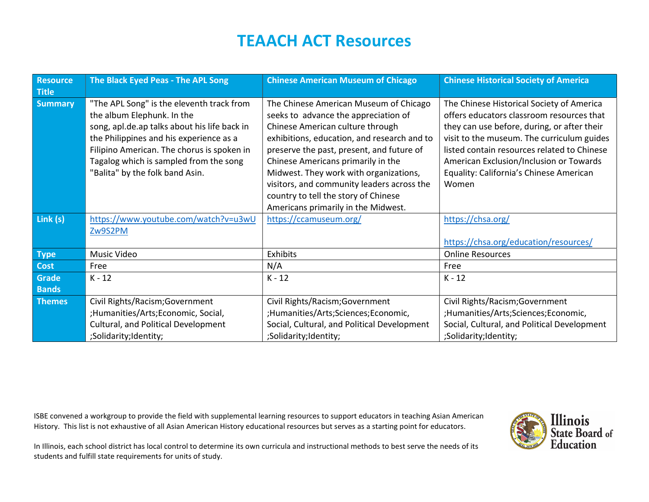| <b>Resource</b><br><b>Title</b> | The Black Eyed Peas - The APL Song                                                                                                                                                                                                                                                            | <b>Chinese American Museum of Chicago</b>                                                                                                                                                                                                                                                                                                                                                                                   | <b>Chinese Historical Society of America</b>                                                                                                                                                                                                                                                                                      |
|---------------------------------|-----------------------------------------------------------------------------------------------------------------------------------------------------------------------------------------------------------------------------------------------------------------------------------------------|-----------------------------------------------------------------------------------------------------------------------------------------------------------------------------------------------------------------------------------------------------------------------------------------------------------------------------------------------------------------------------------------------------------------------------|-----------------------------------------------------------------------------------------------------------------------------------------------------------------------------------------------------------------------------------------------------------------------------------------------------------------------------------|
| <b>Summary</b>                  | "The APL Song" is the eleventh track from<br>the album Elephunk. In the<br>song, apl.de.ap talks about his life back in<br>the Philippines and his experience as a<br>Filipino American. The chorus is spoken in<br>Tagalog which is sampled from the song<br>"Balita" by the folk band Asin. | The Chinese American Museum of Chicago<br>seeks to advance the appreciation of<br>Chinese American culture through<br>exhibitions, education, and research and to<br>preserve the past, present, and future of<br>Chinese Americans primarily in the<br>Midwest. They work with organizations,<br>visitors, and community leaders across the<br>country to tell the story of Chinese<br>Americans primarily in the Midwest. | The Chinese Historical Society of America<br>offers educators classroom resources that<br>they can use before, during, or after their<br>visit to the museum. The curriculum guides<br>listed contain resources related to Chinese<br>American Exclusion/Inclusion or Towards<br>Equality: California's Chinese American<br>Women |
| Link (s)                        | https://www.youtube.com/watch?v=u3wU<br>Zw9S2PM                                                                                                                                                                                                                                               | https://ccamuseum.org/                                                                                                                                                                                                                                                                                                                                                                                                      | https://chsa.org/<br>https://chsa.org/education/resources/                                                                                                                                                                                                                                                                        |
| <b>Type</b>                     | Music Video                                                                                                                                                                                                                                                                                   | <b>Exhibits</b>                                                                                                                                                                                                                                                                                                                                                                                                             | <b>Online Resources</b>                                                                                                                                                                                                                                                                                                           |
| <b>Cost</b>                     | Free                                                                                                                                                                                                                                                                                          | N/A                                                                                                                                                                                                                                                                                                                                                                                                                         | Free                                                                                                                                                                                                                                                                                                                              |
| Grade<br><b>Bands</b>           | $K - 12$                                                                                                                                                                                                                                                                                      | $K - 12$                                                                                                                                                                                                                                                                                                                                                                                                                    | $K - 12$                                                                                                                                                                                                                                                                                                                          |
| <b>Themes</b>                   | Civil Rights/Racism; Government<br>;Humanities/Arts;Economic, Social,<br>Cultural, and Political Development<br>;Solidarity;Identity;                                                                                                                                                         | Civil Rights/Racism; Government<br>;Humanities/Arts;Sciences;Economic,<br>Social, Cultural, and Political Development<br>;Solidarity;Identity;                                                                                                                                                                                                                                                                              | Civil Rights/Racism; Government<br>;Humanities/Arts;Sciences;Economic,<br>Social, Cultural, and Political Development<br>;Solidarity;Identity;                                                                                                                                                                                    |

ISBE convened a workgroup to provide the field with supplemental learning resources to support educators in teaching Asian American History. This list is not exhaustive of all Asian American History educational resources but serves as a starting point for educators.

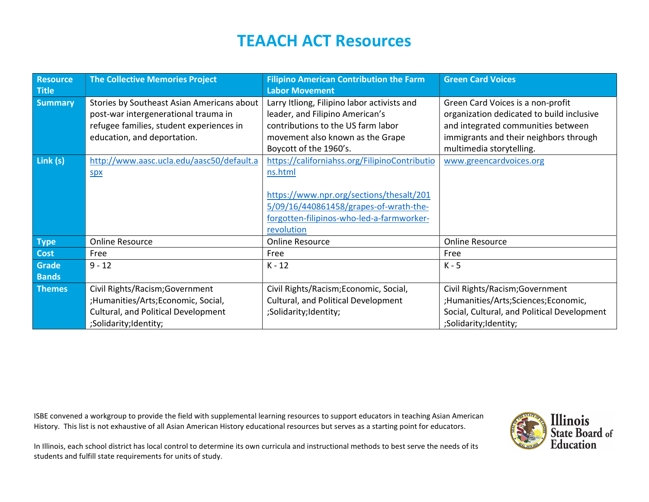| <b>Resource</b><br><b>Title</b> | <b>The Collective Memories Project</b>                                                                                                                        | <b>Filipino American Contribution the Farm</b><br><b>Labor Movement</b>                                                                                                                                   | <b>Green Card Voices</b>                                                                                                                                                                   |
|---------------------------------|---------------------------------------------------------------------------------------------------------------------------------------------------------------|-----------------------------------------------------------------------------------------------------------------------------------------------------------------------------------------------------------|--------------------------------------------------------------------------------------------------------------------------------------------------------------------------------------------|
| <b>Summary</b>                  | Stories by Southeast Asian Americans about<br>post-war intergenerational trauma in<br>refugee families, student experiences in<br>education, and deportation. | Larry Itliong, Filipino labor activists and<br>leader, and Filipino American's<br>contributions to the US farm labor<br>movement also known as the Grape<br>Boycott of the 1960's.                        | Green Card Voices is a non-profit<br>organization dedicated to build inclusive<br>and integrated communities between<br>immigrants and their neighbors through<br>multimedia storytelling. |
| Link (s)                        | http://www.aasc.ucla.edu/aasc50/default.a<br><b>Spx</b>                                                                                                       | https://californiahss.org/FilipinoContributio<br>ns.html<br>https://www.npr.org/sections/thesalt/201<br>5/09/16/440861458/grapes-of-wrath-the-<br>forgotten-filipinos-who-led-a-farmworker-<br>revolution | www.greencardvoices.org                                                                                                                                                                    |
| <b>Type</b>                     | <b>Online Resource</b>                                                                                                                                        | <b>Online Resource</b>                                                                                                                                                                                    | <b>Online Resource</b>                                                                                                                                                                     |
| <b>Cost</b>                     | Free                                                                                                                                                          | Free                                                                                                                                                                                                      | Free                                                                                                                                                                                       |
| Grade<br><b>Bands</b>           | $9 - 12$                                                                                                                                                      | $K - 12$                                                                                                                                                                                                  | $K - 5$                                                                                                                                                                                    |
| <b>Themes</b>                   | Civil Rights/Racism; Government<br>;Humanities/Arts;Economic, Social,<br><b>Cultural, and Political Development</b><br>;Solidarity;Identity;                  | Civil Rights/Racism; Economic, Social,<br>Cultural, and Political Development<br>;Solidarity;Identity;                                                                                                    | Civil Rights/Racism; Government<br>;Humanities/Arts;Sciences;Economic,<br>Social, Cultural, and Political Development<br>;Solidarity;Identity;                                             |

ISBE convened a workgroup to provide the field with supplemental learning resources to support educators in teaching Asian American History. This list is not exhaustive of all Asian American History educational resources but serves as a starting point for educators.

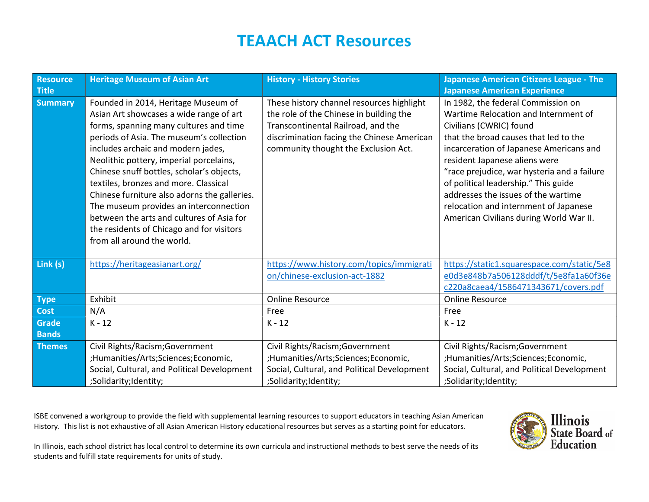| <b>Resource</b><br><b>Title</b> | <b>Heritage Museum of Asian Art</b>                                                                                                                                                                                                                                                                                                                                                                                                                                                                                                                           | <b>History - History Stories</b>                                                                                                                                                                                 | <b>Japanese American Citizens League - The</b><br><b>Japanese American Experience</b>                                                                                                                                                                                                                                                                                                                                                        |
|---------------------------------|---------------------------------------------------------------------------------------------------------------------------------------------------------------------------------------------------------------------------------------------------------------------------------------------------------------------------------------------------------------------------------------------------------------------------------------------------------------------------------------------------------------------------------------------------------------|------------------------------------------------------------------------------------------------------------------------------------------------------------------------------------------------------------------|----------------------------------------------------------------------------------------------------------------------------------------------------------------------------------------------------------------------------------------------------------------------------------------------------------------------------------------------------------------------------------------------------------------------------------------------|
| <b>Summary</b>                  | Founded in 2014, Heritage Museum of<br>Asian Art showcases a wide range of art<br>forms, spanning many cultures and time<br>periods of Asia. The museum's collection<br>includes archaic and modern jades,<br>Neolithic pottery, imperial porcelains,<br>Chinese snuff bottles, scholar's objects,<br>textiles, bronzes and more. Classical<br>Chinese furniture also adorns the galleries.<br>The museum provides an interconnection<br>between the arts and cultures of Asia for<br>the residents of Chicago and for visitors<br>from all around the world. | These history channel resources highlight<br>the role of the Chinese in building the<br>Transcontinental Railroad, and the<br>discrimination facing the Chinese American<br>community thought the Exclusion Act. | In 1982, the federal Commission on<br>Wartime Relocation and Internment of<br>Civilians (CWRIC) found<br>that the broad causes that led to the<br>incarceration of Japanese Americans and<br>resident Japanese aliens were<br>"race prejudice, war hysteria and a failure<br>of political leadership." This guide<br>addresses the issues of the wartime<br>relocation and internment of Japanese<br>American Civilians during World War II. |
| Link (s)                        | https://heritageasianart.org/                                                                                                                                                                                                                                                                                                                                                                                                                                                                                                                                 | https://www.history.com/topics/immigrati<br>on/chinese-exclusion-act-1882                                                                                                                                        | https://static1.squarespace.com/static/5e8<br>e0d3e848b7a506128dddf/t/5e8fa1a60f36e<br>c220a8caea4/1586471343671/covers.pdf                                                                                                                                                                                                                                                                                                                  |
| <b>Type</b>                     | Exhibit                                                                                                                                                                                                                                                                                                                                                                                                                                                                                                                                                       | <b>Online Resource</b>                                                                                                                                                                                           | <b>Online Resource</b>                                                                                                                                                                                                                                                                                                                                                                                                                       |
| Cost                            | N/A                                                                                                                                                                                                                                                                                                                                                                                                                                                                                                                                                           | Free                                                                                                                                                                                                             | Free                                                                                                                                                                                                                                                                                                                                                                                                                                         |
| <b>Grade</b><br><b>Bands</b>    | $K - 12$                                                                                                                                                                                                                                                                                                                                                                                                                                                                                                                                                      | $K - 12$                                                                                                                                                                                                         | $K - 12$                                                                                                                                                                                                                                                                                                                                                                                                                                     |
| <b>Themes</b>                   | Civil Rights/Racism; Government<br>;Humanities/Arts;Sciences;Economic,<br>Social, Cultural, and Political Development<br>;Solidarity;Identity;                                                                                                                                                                                                                                                                                                                                                                                                                | Civil Rights/Racism; Government<br>;Humanities/Arts;Sciences;Economic,<br>Social, Cultural, and Political Development<br>;Solidarity;Identity;                                                                   | Civil Rights/Racism; Government<br>;Humanities/Arts;Sciences;Economic,<br>Social, Cultural, and Political Development<br>;Solidarity;Identity;                                                                                                                                                                                                                                                                                               |

ISBE convened a workgroup to provide the field with supplemental learning resources to support educators in teaching Asian American History. This list is not exhaustive of all Asian American History educational resources but serves as a starting point for educators.

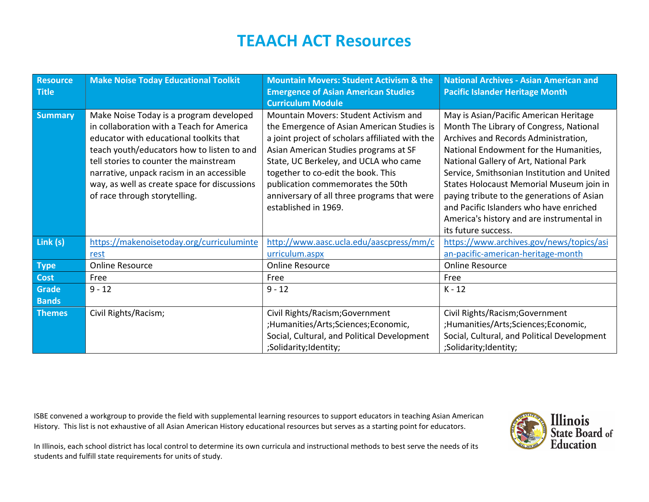| <b>Resource</b> | <b>Make Noise Today Educational Toolkit</b>  | <b>Mountain Movers: Student Activism &amp; the</b> | <b>National Archives - Asian American and</b> |
|-----------------|----------------------------------------------|----------------------------------------------------|-----------------------------------------------|
| <b>Title</b>    |                                              | <b>Emergence of Asian American Studies</b>         | <b>Pacific Islander Heritage Month</b>        |
|                 |                                              | <b>Curriculum Module</b>                           |                                               |
| <b>Summary</b>  | Make Noise Today is a program developed      | Mountain Movers: Student Activism and              | May is Asian/Pacific American Heritage        |
|                 | in collaboration with a Teach for America    | the Emergence of Asian American Studies is         | Month The Library of Congress, National       |
|                 | educator with educational toolkits that      | a joint project of scholars affiliated with the    | Archives and Records Administration,          |
|                 | teach youth/educators how to listen to and   | Asian American Studies programs at SF              | National Endowment for the Humanities,        |
|                 | tell stories to counter the mainstream       | State, UC Berkeley, and UCLA who came              | National Gallery of Art, National Park        |
|                 | narrative, unpack racism in an accessible    | together to co-edit the book. This                 | Service, Smithsonian Institution and United   |
|                 | way, as well as create space for discussions | publication commemorates the 50th                  | States Holocaust Memorial Museum join in      |
|                 | of race through storytelling.                | anniversary of all three programs that were        | paying tribute to the generations of Asian    |
|                 |                                              | established in 1969.                               | and Pacific Islanders who have enriched       |
|                 |                                              |                                                    | America's history and are instrumental in     |
|                 |                                              |                                                    | its future success.                           |
| Link (s)        | https://makenoisetoday.org/curriculuminte    | http://www.aasc.ucla.edu/aascpress/mm/c            | https://www.archives.gov/news/topics/asi      |
|                 | rest                                         | urriculum.aspx                                     | an-pacific-american-heritage-month            |
| <b>Type</b>     | <b>Online Resource</b>                       | <b>Online Resource</b>                             | <b>Online Resource</b>                        |
| <b>Cost</b>     | Free                                         | Free                                               | Free                                          |
| <b>Grade</b>    | $9 - 12$                                     | $9 - 12$                                           | $K - 12$                                      |
| <b>Bands</b>    |                                              |                                                    |                                               |
| <b>Themes</b>   | Civil Rights/Racism;                         | Civil Rights/Racism; Government                    | Civil Rights/Racism; Government               |
|                 |                                              | ;Humanities/Arts;Sciences;Economic,                | ;Humanities/Arts;Sciences;Economic,           |
|                 |                                              | Social, Cultural, and Political Development        | Social, Cultural, and Political Development   |
|                 |                                              | ;Solidarity;Identity;                              | ;Solidarity;Identity;                         |

ISBE convened a workgroup to provide the field with supplemental learning resources to support educators in teaching Asian American History. This list is not exhaustive of all Asian American History educational resources but serves as a starting point for educators.

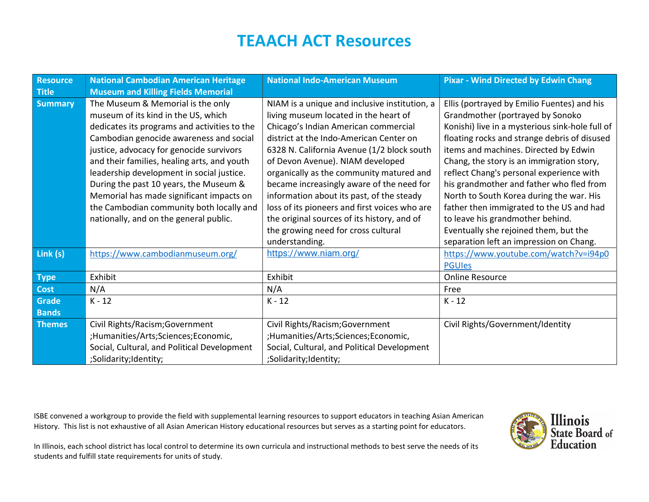| <b>Resource</b> | <b>National Cambodian American Heritage</b>  | <b>National Indo-American Museum</b>          | <b>Pixar - Wind Directed by Edwin Chang</b>     |
|-----------------|----------------------------------------------|-----------------------------------------------|-------------------------------------------------|
| <b>Title</b>    | <b>Museum and Killing Fields Memorial</b>    |                                               |                                                 |
| <b>Summary</b>  | The Museum & Memorial is the only            | NIAM is a unique and inclusive institution, a | Ellis (portrayed by Emilio Fuentes) and his     |
|                 | museum of its kind in the US, which          | living museum located in the heart of         | Grandmother (portrayed by Sonoko                |
|                 | dedicates its programs and activities to the | Chicago's Indian American commercial          | Konishi) live in a mysterious sink-hole full of |
|                 | Cambodian genocide awareness and social      | district at the Indo-American Center on       | floating rocks and strange debris of disused    |
|                 | justice, advocacy for genocide survivors     | 6328 N. California Avenue (1/2 block south    | items and machines. Directed by Edwin           |
|                 | and their families, healing arts, and youth  | of Devon Avenue). NIAM developed              | Chang, the story is an immigration story,       |
|                 | leadership development in social justice.    | organically as the community matured and      | reflect Chang's personal experience with        |
|                 | During the past 10 years, the Museum &       | became increasingly aware of the need for     | his grandmother and father who fled from        |
|                 | Memorial has made significant impacts on     | information about its past, of the steady     | North to South Korea during the war. His        |
|                 | the Cambodian community both locally and     | loss of its pioneers and first voices who are | father then immigrated to the US and had        |
|                 | nationally, and on the general public.       | the original sources of its history, and of   | to leave his grandmother behind.                |
|                 |                                              | the growing need for cross cultural           | Eventually she rejoined them, but the           |
|                 |                                              | understanding.                                | separation left an impression on Chang.         |
| Link (s)        | https://www.cambodianmuseum.org/             | https://www.niam.org/                         | https://www.youtube.com/watch?v=i94p0           |
|                 |                                              |                                               | <b>PGUIes</b>                                   |
| <b>Type</b>     | Exhibit                                      | Exhibit                                       | <b>Online Resource</b>                          |
| <b>Cost</b>     | N/A                                          | N/A                                           | Free                                            |
| <b>Grade</b>    | $K - 12$                                     | $K - 12$                                      | $K - 12$                                        |
| <b>Bands</b>    |                                              |                                               |                                                 |
| <b>Themes</b>   | Civil Rights/Racism; Government              | Civil Rights/Racism; Government               | Civil Rights/Government/Identity                |
|                 | ;Humanities/Arts;Sciences;Economic,          | ;Humanities/Arts;Sciences;Economic,           |                                                 |
|                 | Social, Cultural, and Political Development  | Social, Cultural, and Political Development   |                                                 |
|                 | ;Solidarity;Identity;                        | ;Solidarity;Identity;                         |                                                 |

ISBE convened a workgroup to provide the field with supplemental learning resources to support educators in teaching Asian American History. This list is not exhaustive of all Asian American History educational resources but serves as a starting point for educators.

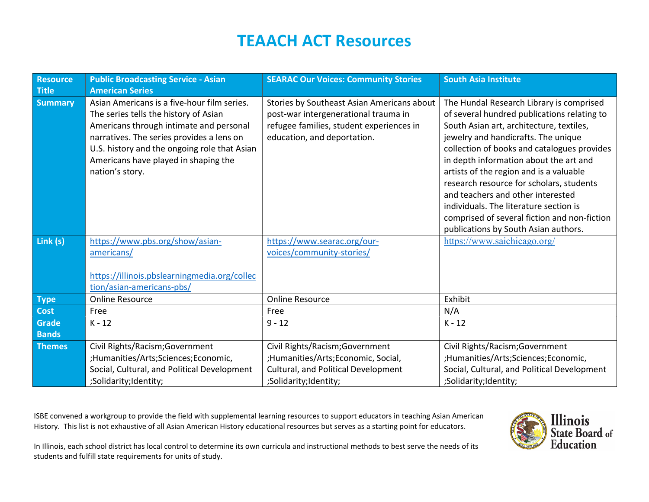| <b>Resource</b><br><b>Title</b> | <b>Public Broadcasting Service - Asian</b><br><b>American Series</b>                                                                                                                                                                                                                    | <b>SEARAC Our Voices: Community Stories</b>                                                                                                                   | <b>South Asia Institute</b>                                                                                                                                                                                                                                                                                                                                                                                                                                                                                                       |
|---------------------------------|-----------------------------------------------------------------------------------------------------------------------------------------------------------------------------------------------------------------------------------------------------------------------------------------|---------------------------------------------------------------------------------------------------------------------------------------------------------------|-----------------------------------------------------------------------------------------------------------------------------------------------------------------------------------------------------------------------------------------------------------------------------------------------------------------------------------------------------------------------------------------------------------------------------------------------------------------------------------------------------------------------------------|
| <b>Summary</b>                  | Asian Americans is a five-hour film series.<br>The series tells the history of Asian<br>Americans through intimate and personal<br>narratives. The series provides a lens on<br>U.S. history and the ongoing role that Asian<br>Americans have played in shaping the<br>nation's story. | Stories by Southeast Asian Americans about<br>post-war intergenerational trauma in<br>refugee families, student experiences in<br>education, and deportation. | The Hundal Research Library is comprised<br>of several hundred publications relating to<br>South Asian art, architecture, textiles,<br>jewelry and handicrafts. The unique<br>collection of books and catalogues provides<br>in depth information about the art and<br>artists of the region and is a valuable<br>research resource for scholars, students<br>and teachers and other interested<br>individuals. The literature section is<br>comprised of several fiction and non-fiction<br>publications by South Asian authors. |
| Link (s)                        | https://www.pbs.org/show/asian-<br>americans/<br>https://illinois.pbslearningmedia.org/collec<br>tion/asian-americans-pbs/                                                                                                                                                              | https://www.searac.org/our-<br>voices/community-stories/                                                                                                      | https://www.saichicago.org/                                                                                                                                                                                                                                                                                                                                                                                                                                                                                                       |
| <b>Type</b>                     | <b>Online Resource</b>                                                                                                                                                                                                                                                                  | <b>Online Resource</b>                                                                                                                                        | Exhibit                                                                                                                                                                                                                                                                                                                                                                                                                                                                                                                           |
| Cost                            | Free                                                                                                                                                                                                                                                                                    | Free                                                                                                                                                          | N/A                                                                                                                                                                                                                                                                                                                                                                                                                                                                                                                               |
| Grade<br><b>Bands</b>           | $K - 12$                                                                                                                                                                                                                                                                                | $9 - 12$                                                                                                                                                      | $K - 12$                                                                                                                                                                                                                                                                                                                                                                                                                                                                                                                          |
| <b>Themes</b>                   | Civil Rights/Racism; Government<br>;Humanities/Arts;Sciences;Economic,<br>Social, Cultural, and Political Development<br>;Solidarity;Identity;                                                                                                                                          | Civil Rights/Racism; Government<br>;Humanities/Arts;Economic, Social,<br>Cultural, and Political Development<br>;Solidarity;Identity;                         | Civil Rights/Racism; Government<br>;Humanities/Arts;Sciences;Economic,<br>Social, Cultural, and Political Development<br>;Solidarity;Identity;                                                                                                                                                                                                                                                                                                                                                                                    |

ISBE convened a workgroup to provide the field with supplemental learning resources to support educators in teaching Asian American History. This list is not exhaustive of all Asian American History educational resources but serves as a starting point for educators.

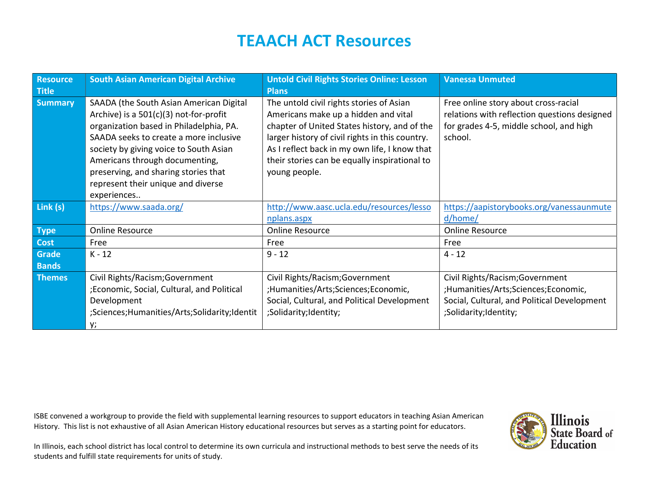| Resource<br><b>Title</b> | <b>South Asian American Digital Archive</b>                                                                                                                                                                                                                                                                                                       | <b>Untold Civil Rights Stories Online: Lesson</b><br><b>Plans</b>                                                                                                                                                                                                                                      | <b>Vanessa Unmuted</b>                                                                                                                     |
|--------------------------|---------------------------------------------------------------------------------------------------------------------------------------------------------------------------------------------------------------------------------------------------------------------------------------------------------------------------------------------------|--------------------------------------------------------------------------------------------------------------------------------------------------------------------------------------------------------------------------------------------------------------------------------------------------------|--------------------------------------------------------------------------------------------------------------------------------------------|
| <b>Summary</b>           | SAADA (the South Asian American Digital<br>Archive) is a $501(c)(3)$ not-for-profit<br>organization based in Philadelphia, PA.<br>SAADA seeks to create a more inclusive<br>society by giving voice to South Asian<br>Americans through documenting,<br>preserving, and sharing stories that<br>represent their unique and diverse<br>experiences | The untold civil rights stories of Asian<br>Americans make up a hidden and vital<br>chapter of United States history, and of the<br>larger history of civil rights in this country.<br>As I reflect back in my own life, I know that<br>their stories can be equally inspirational to<br>young people. | Free online story about cross-racial<br>relations with reflection questions designed<br>for grades 4-5, middle school, and high<br>school. |
| Link (s)                 | https://www.saada.org/                                                                                                                                                                                                                                                                                                                            | http://www.aasc.ucla.edu/resources/lesso                                                                                                                                                                                                                                                               | https://aapistorybooks.org/vanessaunmute                                                                                                   |
|                          |                                                                                                                                                                                                                                                                                                                                                   | nplans.aspx                                                                                                                                                                                                                                                                                            | d/home/                                                                                                                                    |
| <b>Type</b>              | <b>Online Resource</b>                                                                                                                                                                                                                                                                                                                            | <b>Online Resource</b>                                                                                                                                                                                                                                                                                 | <b>Online Resource</b>                                                                                                                     |
| Cost                     | Free                                                                                                                                                                                                                                                                                                                                              | Free                                                                                                                                                                                                                                                                                                   | Free                                                                                                                                       |
| Grade                    | $K - 12$                                                                                                                                                                                                                                                                                                                                          | $9 - 12$                                                                                                                                                                                                                                                                                               | $4 - 12$                                                                                                                                   |
| <b>Bands</b>             |                                                                                                                                                                                                                                                                                                                                                   |                                                                                                                                                                                                                                                                                                        |                                                                                                                                            |
| <b>Themes</b>            | Civil Rights/Racism; Government                                                                                                                                                                                                                                                                                                                   | Civil Rights/Racism; Government                                                                                                                                                                                                                                                                        | Civil Rights/Racism; Government                                                                                                            |
|                          | ;Economic, Social, Cultural, and Political                                                                                                                                                                                                                                                                                                        | ;Humanities/Arts;Sciences;Economic,                                                                                                                                                                                                                                                                    | ;Humanities/Arts;Sciences;Economic,                                                                                                        |
|                          | Development                                                                                                                                                                                                                                                                                                                                       | Social, Cultural, and Political Development                                                                                                                                                                                                                                                            | Social, Cultural, and Political Development                                                                                                |
|                          | ;Sciences;Humanities/Arts;Solidarity;Identit                                                                                                                                                                                                                                                                                                      | ;Solidarity;Identity;                                                                                                                                                                                                                                                                                  | ;Solidarity;Identity;                                                                                                                      |
|                          | y;                                                                                                                                                                                                                                                                                                                                                |                                                                                                                                                                                                                                                                                                        |                                                                                                                                            |

ISBE convened a workgroup to provide the field with supplemental learning resources to support educators in teaching Asian American History. This list is not exhaustive of all Asian American History educational resources but serves as a starting point for educators.